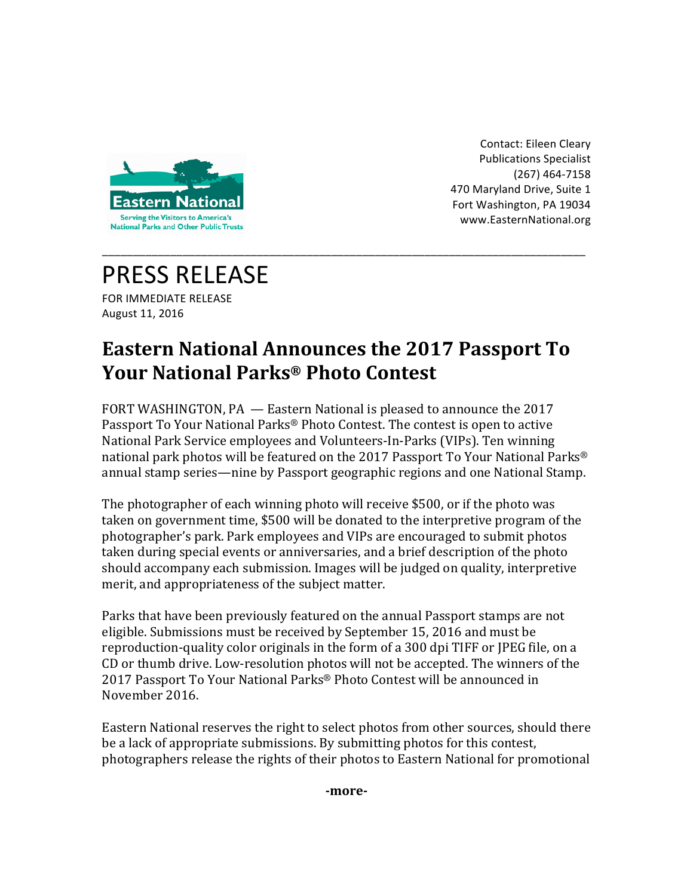

Contact: Eileen Cleary Publications Specialist (267) 464-7158 470 Maryland Drive, Suite 1 Fort Washington, PA 19034 www.EasternNational.org 

## PRESS RELEASE

FOR IMMEDIATE RELEASE August 11, 2016

## **Eastern National Announces the 2017 Passport To Your National Parks® Photo Contest**

\_\_\_\_\_\_\_\_\_\_\_\_\_\_\_\_\_\_\_\_\_\_\_\_\_\_\_\_\_\_\_\_\_\_\_\_\_\_\_\_\_\_\_\_\_\_\_\_\_\_\_\_\_\_\_\_\_\_\_\_\_\_\_\_\_\_\_\_\_\_\_\_\_\_\_\_\_\_

FORT WASHINGTON, PA - Eastern National is pleased to announce the 2017 Passport To Your National Parks® Photo Contest. The contest is open to active National Park Service employees and Volunteers-In-Parks (VIPs). Ten winning national park photos will be featured on the 2017 Passport To Your National Parks<sup>®</sup> annual stamp series—nine by Passport geographic regions and one National Stamp.

The photographer of each winning photo will receive \$500, or if the photo was taken on government time, \$500 will be donated to the interpretive program of the photographer's park. Park employees and VIPs are encouraged to submit photos taken during special events or anniversaries, and a brief description of the photo should accompany each submission. Images will be judged on quality, interpretive merit, and appropriateness of the subject matter.

Parks that have been previously featured on the annual Passport stamps are not eligible. Submissions must be received by September 15, 2016 and must be reproduction-quality color originals in the form of a 300 dpi TIFF or JPEG file, on a CD or thumb drive. Low-resolution photos will not be accepted. The winners of the 2017 Passport To Your National Parks® Photo Contest will be announced in November 2016.

Eastern National reserves the right to select photos from other sources, should there be a lack of appropriate submissions. By submitting photos for this contest, photographers release the rights of their photos to Eastern National for promotional

**-more-**